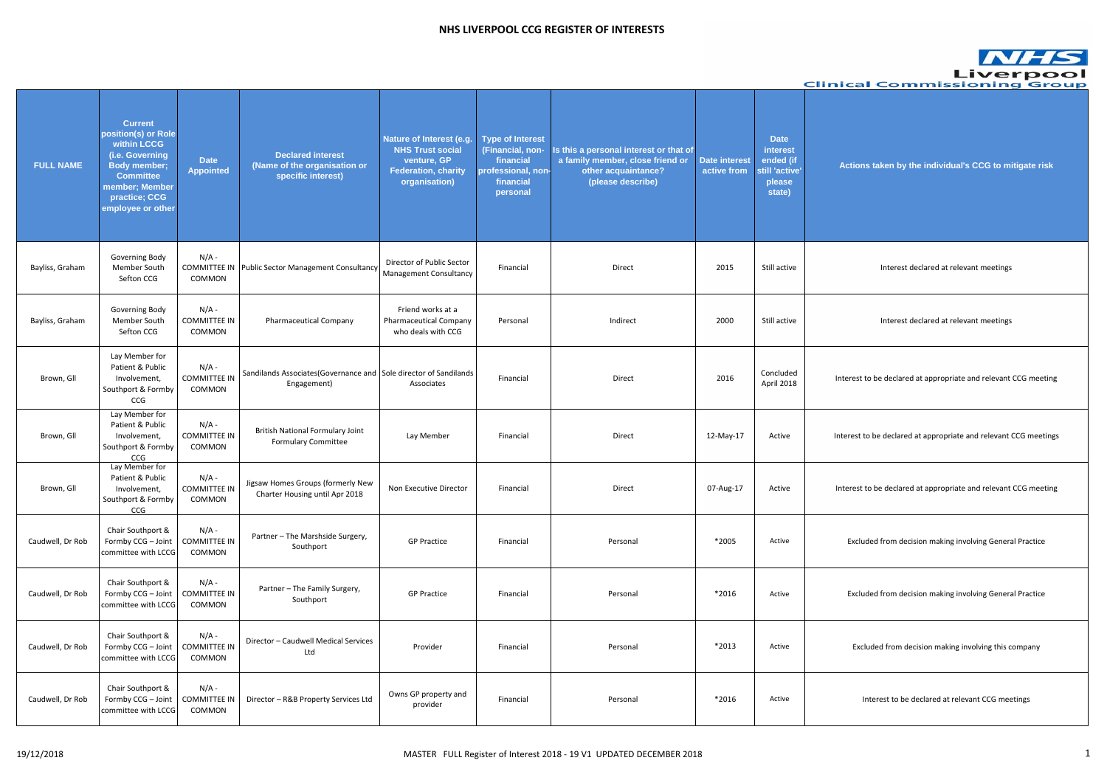**Actions taken by the individual's CCG to mitigate risk**

Interest declared at relevant meetings

Interest declared at relevant meetings

Interest to be declared at appropriate and relevant CCG meeting

Interest to be declared at appropriate and relevant CCG meetings

Interest to be declared at appropriate and relevant CCG meeting

Excluded from decision making involving General Practice

Excluded from decision making involving General Practice

Excluded from decision making involving this company

Interest to be declared at relevant CCG meetings

|                  |                                                                                                                                                                            |                                          |                                                                                  |                                                                                                                   |                                                                                                         |                                                                                                                        |                                     |                                                                            | Clin |
|------------------|----------------------------------------------------------------------------------------------------------------------------------------------------------------------------|------------------------------------------|----------------------------------------------------------------------------------|-------------------------------------------------------------------------------------------------------------------|---------------------------------------------------------------------------------------------------------|------------------------------------------------------------------------------------------------------------------------|-------------------------------------|----------------------------------------------------------------------------|------|
| <b>FULL NAME</b> | <b>Current</b><br>position(s) or Role<br>within LCCG<br>(i.e. Governing<br><b>Body member;</b><br><b>Committee</b><br>member; Member<br>practice; CCG<br>employee or other | <b>Date</b><br><b>Appointed</b>          | <b>Declared interest</b><br>(Name of the organisation or<br>specific interest)   | Nature of Interest (e.g.<br><b>NHS Trust social</b><br>venture, GP<br><b>Federation, charity</b><br>organisation) | <b>Type of Interest</b><br>(Financial, non-<br>financial<br>professional, non-<br>financial<br>personal | Is this a personal interest or that of<br>a family member, close friend or<br>other acquaintance?<br>(please describe) | <b>Date interest</b><br>active from | <b>Date</b><br>interest<br>ended (if<br>still 'active'<br>please<br>state) |      |
| Bayliss, Graham  | Governing Body<br>Member South<br>Sefton CCG                                                                                                                               | $N/A$ -<br>COMMON                        | COMMITTEE IN   Public Sector Management Consultancy                              | Director of Public Sector<br><b>Management Consultancy</b>                                                        | Financial                                                                                               | Direct                                                                                                                 | 2015                                | Still active                                                               |      |
| Bayliss, Graham  | Governing Body<br>Member South<br>Sefton CCG                                                                                                                               | $N/A$ -<br><b>COMMITTEE IN</b><br>COMMON | <b>Pharmaceutical Company</b>                                                    | Friend works at a<br>Pharmaceutical Company<br>who deals with CCG                                                 | Personal                                                                                                | Indirect                                                                                                               | 2000                                | Still active                                                               |      |
| Brown, Gll       | Lay Member for<br>Patient & Public<br>Involvement,<br>Southport & Formby<br>CCG                                                                                            | $N/A$ -<br><b>COMMITTEE IN</b><br>COMMON | Sandilands Associates (Governance and Sole director of Sandilands<br>Engagement) | Associates                                                                                                        | Financial                                                                                               | Direct                                                                                                                 | 2016                                | Concluded<br>April 2018                                                    |      |
| Brown, Gll       | Lay Member for<br>Patient & Public<br>Involvement,<br>Southport & Formby<br><b>CCG</b>                                                                                     | $N/A$ -<br><b>COMMITTEE IN</b><br>COMMON | <b>British National Formulary Joint</b><br><b>Formulary Committee</b>            | Lay Member                                                                                                        | Financial                                                                                               | Direct                                                                                                                 | 12-May-17                           | Active                                                                     |      |
| Brown, Gll       | Lay Member for<br>Patient & Public<br>Involvement,<br>Southport & Formby<br>CCG                                                                                            | $N/A$ -<br><b>COMMITTEE IN</b><br>COMMON | Jigsaw Homes Groups (formerly New<br>Charter Housing until Apr 2018              | Non Executive Director                                                                                            | Financial                                                                                               | Direct                                                                                                                 | 07-Aug-17                           | Active                                                                     |      |
| Caudwell, Dr Rob | Chair Southport &<br>Formby CCG - Joint<br>committee with LCCG                                                                                                             | $N/A -$<br><b>COMMITTEE IN</b><br>COMMON | Partner - The Marshside Surgery,<br>Southport                                    | <b>GP Practice</b>                                                                                                | Financial                                                                                               | Personal                                                                                                               | *2005                               | Active                                                                     |      |
| Caudwell, Dr Rob | Chair Southport &<br>Formby CCG - Joint<br>committee with LCCG                                                                                                             | $N/A$ -<br><b>COMMITTEE IN</b><br>COMMON | Partner - The Family Surgery,<br>Southport                                       | <b>GP Practice</b>                                                                                                | Financial                                                                                               | Personal                                                                                                               | *2016                               | Active                                                                     |      |
| Caudwell, Dr Rob | Chair Southport &<br>Formby CCG - Joint<br>committee with LCCG                                                                                                             | $N/A$ -<br><b>COMMITTEE IN</b><br>COMMON | Director - Caudwell Medical Services<br>Ltd                                      | Provider                                                                                                          | Financial                                                                                               | Personal                                                                                                               | *2013                               | Active                                                                     |      |
| Caudwell, Dr Rob | Chair Southport &<br>Formby CCG - Joint<br>committee with LCCG                                                                                                             | $N/A$ -<br><b>COMMITTEE IN</b><br>COMMON | Director - R&B Property Services Ltd                                             | Owns GP property and<br>provider                                                                                  | Financial                                                                                               | Personal                                                                                                               | *2016                               | Active                                                                     |      |

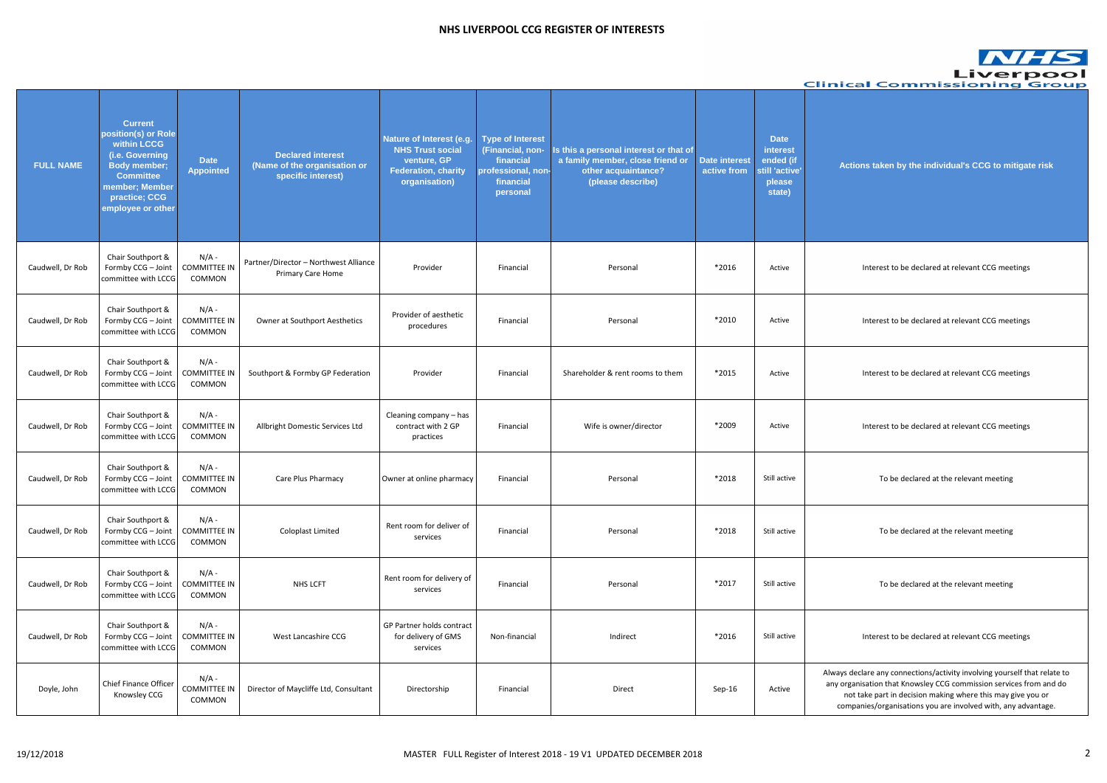**Actions taken by the individual's CCG to mitigate risk**

Interest to be declared at relevant CCG meetings

Interest to be declared at relevant CCG meetings

Interest to be declared at relevant CCG meetings

Interest to be declared at relevant CCG meetings

To be declared at the relevant meeting

To be declared at the relevant meeting

To be declared at the relevant meeting

Interest to be declared at relevant CCG meetings

|                  |                                                                                                                                                                            |                                          |                                                                                |                                                                                                                   |                                                                                                         |                                                                                                                        |                                     |                                                                            | Clin      |
|------------------|----------------------------------------------------------------------------------------------------------------------------------------------------------------------------|------------------------------------------|--------------------------------------------------------------------------------|-------------------------------------------------------------------------------------------------------------------|---------------------------------------------------------------------------------------------------------|------------------------------------------------------------------------------------------------------------------------|-------------------------------------|----------------------------------------------------------------------------|-----------|
| <b>FULL NAME</b> | <b>Current</b><br>position(s) or Role<br>within LCCG<br>(i.e. Governing<br><b>Body member;</b><br><b>Committee</b><br>member; Member<br>practice; CCG<br>employee or other | <b>Date</b><br><b>Appointed</b>          | <b>Declared interest</b><br>(Name of the organisation or<br>specific interest) | Nature of Interest (e.g.<br><b>NHS Trust social</b><br>venture, GP<br><b>Federation, charity</b><br>organisation) | <b>Type of Interest</b><br>(Financial, non-<br>financial<br>professional, non-<br>financial<br>personal | Is this a personal interest or that of<br>a family member, close friend or<br>other acquaintance?<br>(please describe) | <b>Date interest</b><br>active from | <b>Date</b><br>interest<br>ended (if<br>still 'active'<br>please<br>state) |           |
| Caudwell, Dr Rob | Chair Southport &<br>Formby CCG - Joint<br>committee with LCCG                                                                                                             | $N/A$ -<br><b>COMMITTEE IN</b><br>COMMON | Partner/Director - Northwest Alliance<br>Primary Care Home                     | Provider                                                                                                          | Financial                                                                                               | Personal                                                                                                               | *2016                               | Active                                                                     |           |
| Caudwell, Dr Rob | Chair Southport &<br>Formby CCG - Joint<br>committee with LCCG                                                                                                             | $N/A -$<br><b>COMMITTEE IN</b><br>COMMON | <b>Owner at Southport Aesthetics</b>                                           | Provider of aesthetic<br>procedures                                                                               | Financial                                                                                               | Personal                                                                                                               | *2010                               | Active                                                                     |           |
| Caudwell, Dr Rob | Chair Southport &<br>Formby CCG - Joint<br>committee with LCCG                                                                                                             | $N/A -$<br><b>COMMITTEE IN</b><br>COMMON | Southport & Formby GP Federation                                               | Provider                                                                                                          | Financial                                                                                               | Shareholder & rent rooms to them                                                                                       | *2015                               | Active                                                                     |           |
| Caudwell, Dr Rob | Chair Southport &<br>Formby CCG - Joint<br>committee with LCCG                                                                                                             | $N/A$ -<br><b>COMMITTEE IN</b><br>COMMON | Allbright Domestic Services Ltd                                                | Cleaning company - has<br>contract with 2 GP<br>practices                                                         | Financial                                                                                               | Wife is owner/director                                                                                                 | *2009                               | Active                                                                     |           |
| Caudwell, Dr Rob | Chair Southport &<br>Formby CCG - Joint<br>committee with LCCG                                                                                                             | $N/A -$<br><b>COMMITTEE IN</b><br>COMMON | Care Plus Pharmacy                                                             | Owner at online pharmacy                                                                                          | Financial                                                                                               | Personal                                                                                                               | *2018                               | Still active                                                               |           |
| Caudwell, Dr Rob | Chair Southport &<br>Formby CCG - Joint<br>committee with LCCG                                                                                                             | $N/A$ -<br><b>COMMITTEE IN</b><br>COMMON | Coloplast Limited                                                              | Rent room for deliver of<br>services                                                                              | Financial                                                                                               | Personal                                                                                                               | *2018                               | Still active                                                               |           |
| Caudwell, Dr Rob | Chair Southport &<br>Formby CCG - Joint<br>committee with LCCG                                                                                                             | $N/A$ -<br><b>COMMITTEE IN</b><br>COMMON | NHS LCFT                                                                       | Rent room for delivery of<br>services                                                                             | Financial                                                                                               | Personal                                                                                                               | *2017                               | Still active                                                               |           |
| Caudwell, Dr Rob | Chair Southport &<br>Formby CCG - Joint<br>committee with LCCG                                                                                                             | $N/A$ -<br><b>COMMITTEE IN</b><br>COMMON | West Lancashire CCG                                                            | GP Partner holds contract<br>for delivery of GMS<br>services                                                      | Non-financial                                                                                           | Indirect                                                                                                               | *2016                               | Still active                                                               |           |
| Doyle, John      | Chief Finance Officer<br>Knowsley CCG                                                                                                                                      | $N/A -$<br><b>COMMITTEE IN</b><br>COMMON | Director of Maycliffe Ltd, Consultant                                          | Directorship                                                                                                      | Financial                                                                                               | Direct                                                                                                                 | Sep-16                              | Active                                                                     | Alw<br>an |

ways declare any connections/activity involving yourself that relate to ny organisation that Knowsley CCG commission services from and do not take part in decision making where this may give you or companies/organisations you are involved with, any advantage.

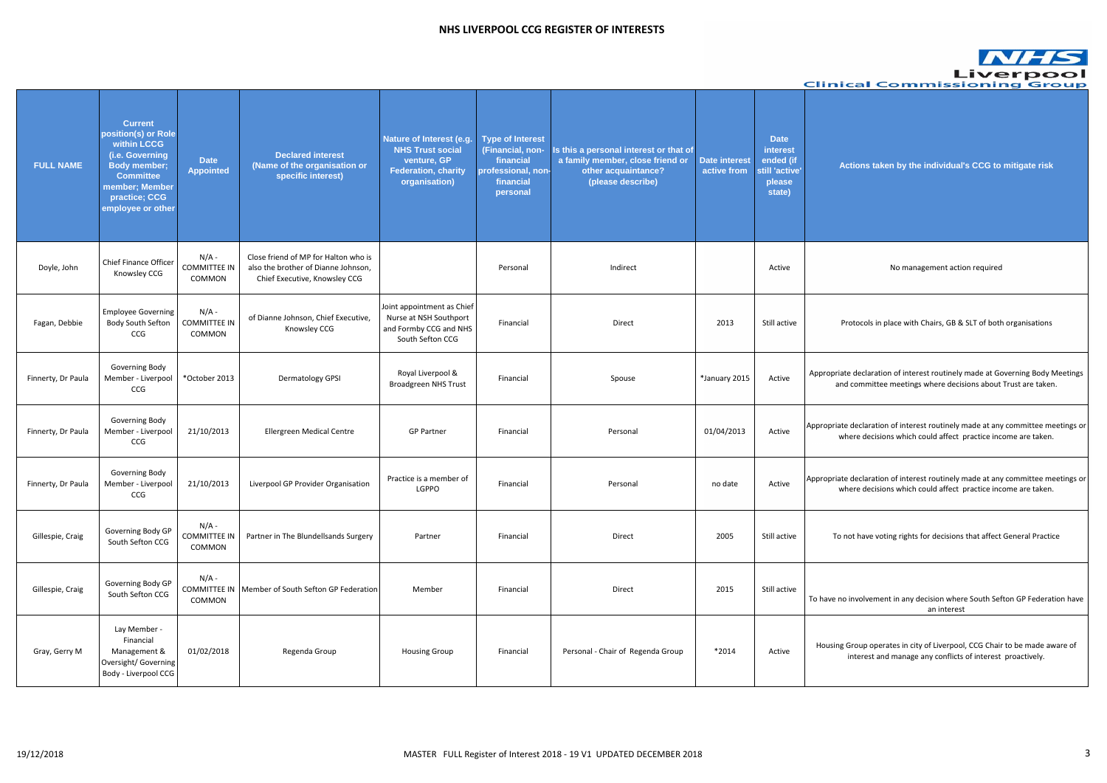#### **Actions taken by the individual's CCG to mitigate risk**

#### No management action required

|                    |                                                                                                                                                                            |                                          |                                                                                                              |                                                                                                                   |                                                                                                         |                                                                                                                       |                                     |                                                                                   | <b>Clinical Commissioning Group</b>                                                                                                             |
|--------------------|----------------------------------------------------------------------------------------------------------------------------------------------------------------------------|------------------------------------------|--------------------------------------------------------------------------------------------------------------|-------------------------------------------------------------------------------------------------------------------|---------------------------------------------------------------------------------------------------------|-----------------------------------------------------------------------------------------------------------------------|-------------------------------------|-----------------------------------------------------------------------------------|-------------------------------------------------------------------------------------------------------------------------------------------------|
| <b>FULL NAME</b>   | <b>Current</b><br>position(s) or Role<br>within LCCG<br>(i.e. Governing<br><b>Body member;</b><br><b>Committee</b><br>member; Member<br>practice; CCG<br>employee or other | <b>Date</b><br><b>Appointed</b>          | <b>Declared interest</b><br>(Name of the organisation or<br>specific interest)                               | Nature of Interest (e.g.<br><b>NHS Trust social</b><br>venture, GP<br><b>Federation, charity</b><br>organisation) | <b>Type of Interest</b><br>(Financial, non-<br>financial<br>professional, non-<br>financial<br>personal | s this a personal interest or that of<br>a family member, close friend or<br>other acquaintance?<br>(please describe) | <b>Date interest</b><br>active from | <b>Date</b><br><b>interest</b><br>ended (if<br>still 'active'<br>please<br>state) | Actions taken by the individual's CCG to mitigate risk                                                                                          |
| Doyle, John        | Chief Finance Officer<br>Knowsley CCG                                                                                                                                      | $N/A$ -<br><b>COMMITTEE IN</b><br>COMMON | Close friend of MP for Halton who is<br>also the brother of Dianne Johnson,<br>Chief Executive, Knowsley CCG |                                                                                                                   | Personal                                                                                                | Indirect                                                                                                              |                                     | Active                                                                            | No management action required                                                                                                                   |
| Fagan, Debbie      | <b>Employee Governing</b><br>Body South Sefton<br>CCG                                                                                                                      | $N/A$ -<br><b>COMMITTEE IN</b><br>COMMON | of Dianne Johnson, Chief Executive,<br>Knowsley CCG                                                          | Joint appointment as Chief<br>Nurse at NSH Southport<br>and Formby CCG and NHS<br>South Sefton CCG                | Financial                                                                                               | Direct                                                                                                                | 2013                                | Still active                                                                      | Protocols in place with Chairs, GB & SLT of both organisations                                                                                  |
| Finnerty, Dr Paula | Governing Body<br>Member - Liverpool<br>CCG                                                                                                                                | *October 2013                            | Dermatology GPSI                                                                                             | Royal Liverpool &<br><b>Broadgreen NHS Trust</b>                                                                  | Financial                                                                                               | Spouse                                                                                                                | *January 2015                       | Active                                                                            | Appropriate declaration of interest routinely made at Governing Body Meetings<br>and committee meetings where decisions about Trust are taken.  |
| Finnerty, Dr Paula | Governing Body<br>Member - Liverpool<br>CCG                                                                                                                                | 21/10/2013                               | Ellergreen Medical Centre                                                                                    | <b>GP Partner</b>                                                                                                 | Financial                                                                                               | Personal                                                                                                              | 01/04/2013                          | Active                                                                            | Appropriate declaration of interest routinely made at any committee meetings o<br>where decisions which could affect practice income are taken. |
| Finnerty, Dr Paula | Governing Body<br>Member - Liverpool<br>CCG                                                                                                                                | 21/10/2013                               | Liverpool GP Provider Organisation                                                                           | Practice is a member of<br>LGPPO                                                                                  | Financial                                                                                               | Personal                                                                                                              | no date                             | Active                                                                            | Appropriate declaration of interest routinely made at any committee meetings o<br>where decisions which could affect practice income are taken. |
| Gillespie, Craig   | Governing Body GP<br>South Sefton CCG                                                                                                                                      | $N/A$ -<br><b>COMMITTEE IN</b><br>COMMON | Partner in The Blundellsands Surgery                                                                         | Partner                                                                                                           | Financial                                                                                               | Direct                                                                                                                | 2005                                | Still active                                                                      | To not have voting rights for decisions that affect General Practice                                                                            |
| Gillespie, Craig   | Governing Body GP<br>South Sefton CCG                                                                                                                                      | $N/A$ -<br><b>COMMITTEE IN</b><br>COMMON | Member of South Sefton GP Federation                                                                         | Member                                                                                                            | Financial                                                                                               | Direct                                                                                                                | 2015                                | Still active                                                                      | To have no involvement in any decision where South Sefton GP Federation have<br>an interest                                                     |
| Gray, Gerry M      | Lay Member -<br>Financial<br>Management &<br>Oversight/ Governing<br>Body - Liverpool CCG                                                                                  | 01/02/2018                               | Regenda Group                                                                                                | <b>Housing Group</b>                                                                                              | Financial                                                                                               | Personal - Chair of Regenda Group                                                                                     | $*2014$                             | Active                                                                            | Housing Group operates in city of Liverpool, CCG Chair to be made aware of<br>interest and manage any conflicts of interest proactively.        |

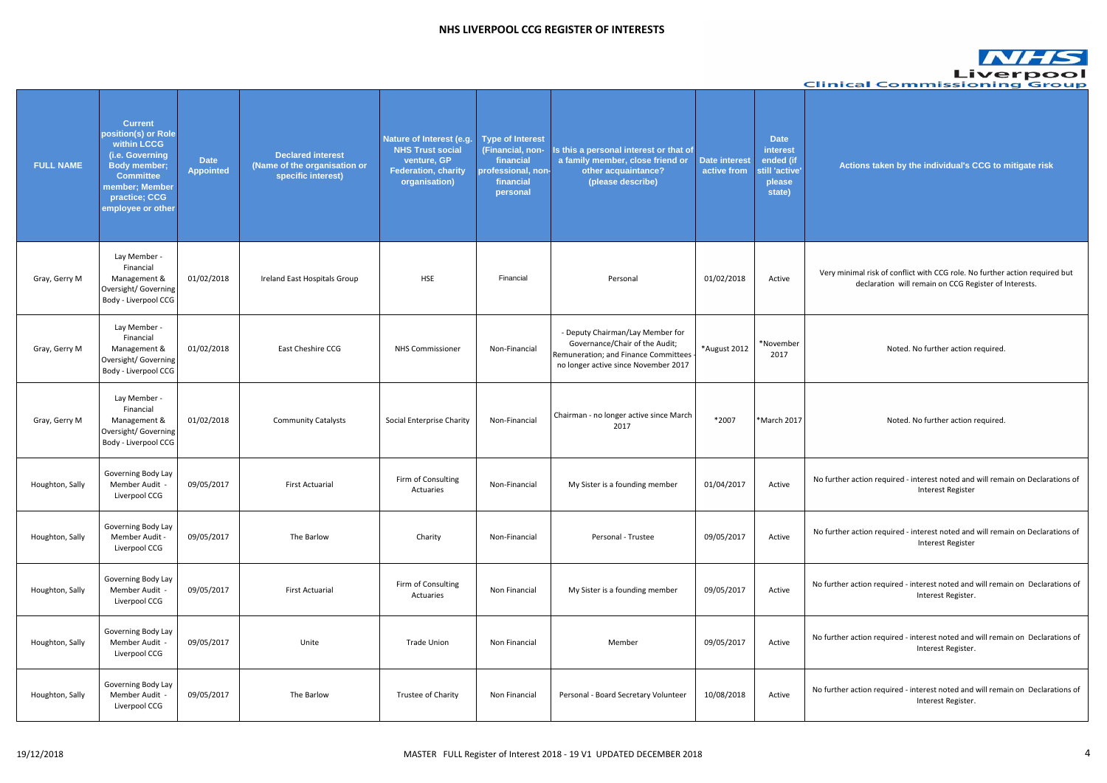$\alpha$  minimal risk of conflict with CCG role. No further action required but declaration will remain on CCG Register of Interests.

#### **Actions taken by the individual's CCG to mitigate risk**

#### ther action required - interest noted and will remain on Declarations of Interest Register

ther action required - interest noted and will remain on Declarations of Interest Register

ther action required - interest noted and will remain on Declarations of Interest Register.

ther action required - interest noted and will remain on Declarations of Interest Register.

Noted. No further action required.

Noted. No further action required.

|                  |                                                                                                                                                                            |                                 |                                                                                |                                                                                                                   |                                                                                                         |                                                                                                                                                      |                                     |                                                                            | Clin    |
|------------------|----------------------------------------------------------------------------------------------------------------------------------------------------------------------------|---------------------------------|--------------------------------------------------------------------------------|-------------------------------------------------------------------------------------------------------------------|---------------------------------------------------------------------------------------------------------|------------------------------------------------------------------------------------------------------------------------------------------------------|-------------------------------------|----------------------------------------------------------------------------|---------|
| <b>FULL NAME</b> | <b>Current</b><br>position(s) or Role<br>within LCCG<br>(i.e. Governing<br><b>Body member;</b><br><b>Committee</b><br>member; Member<br>practice; CCG<br>employee or other | <b>Date</b><br><b>Appointed</b> | <b>Declared interest</b><br>(Name of the organisation or<br>specific interest) | Nature of Interest (e.g.<br><b>NHS Trust social</b><br>venture, GP<br><b>Federation, charity</b><br>organisation) | <b>Type of Interest</b><br>(Financial, non-<br>financial<br>professional, non-<br>financial<br>personal | Is this a personal interest or that of<br>a family member, close friend or<br>other acquaintance?<br>(please describe)                               | <b>Date interest</b><br>active from | <b>Date</b><br>interest<br>ended (if<br>still 'active'<br>please<br>state) |         |
| Gray, Gerry M    | Lay Member -<br>Financial<br>Management &<br>Oversight/ Governing<br>Body - Liverpool CCG                                                                                  | 01/02/2018                      | Ireland East Hospitals Group                                                   | <b>HSE</b>                                                                                                        | Financial                                                                                               | Personal                                                                                                                                             | 01/02/2018                          | Active                                                                     | Very    |
| Gray, Gerry M    | Lay Member -<br>Financial<br>Management &<br>Oversight/ Governing<br>Body - Liverpool CCG                                                                                  | 01/02/2018                      | East Cheshire CCG                                                              | <b>NHS Commissioner</b>                                                                                           | Non-Financial                                                                                           | - Deputy Chairman/Lay Member for<br>Governance/Chair of the Audit;<br>Remuneration; and Finance Committees -<br>no longer active since November 2017 | *August 2012                        | *November<br>2017                                                          |         |
| Gray, Gerry M    | Lay Member -<br>Financial<br>Management &<br>Oversight/ Governing<br>Body - Liverpool CCG                                                                                  | 01/02/2018                      | <b>Community Catalysts</b>                                                     | Social Enterprise Charity                                                                                         | Non-Financial                                                                                           | Chairman - no longer active since March<br>2017                                                                                                      | *2007                               | *March 2017                                                                |         |
| Houghton, Sally  | Governing Body Lay<br>Member Audit -<br>Liverpool CCG                                                                                                                      | 09/05/2017                      | <b>First Actuarial</b>                                                         | Firm of Consulting<br>Actuaries                                                                                   | Non-Financial                                                                                           | My Sister is a founding member                                                                                                                       | 01/04/2017                          | Active                                                                     | No furt |
| Houghton, Sally  | Governing Body Lay<br>Member Audit -<br>Liverpool CCG                                                                                                                      | 09/05/2017                      | The Barlow                                                                     | Charity                                                                                                           | Non-Financial                                                                                           | Personal - Trustee                                                                                                                                   | 09/05/2017                          | Active                                                                     | No furt |
| Houghton, Sally  | Governing Body Lay<br>Member Audit -<br>Liverpool CCG                                                                                                                      | 09/05/2017                      | <b>First Actuarial</b>                                                         | Firm of Consulting<br>Actuaries                                                                                   | Non Financial                                                                                           | My Sister is a founding member                                                                                                                       | 09/05/2017                          | Active                                                                     | No furt |
| Houghton, Sally  | Governing Body Lay<br>Member Audit -<br>Liverpool CCG                                                                                                                      | 09/05/2017                      | Unite                                                                          | <b>Trade Union</b>                                                                                                | Non Financial                                                                                           | Member                                                                                                                                               | 09/05/2017                          | Active                                                                     | No furt |
| Houghton, Sally  | Governing Body Lay<br>Member Audit -<br>Liverpool CCG                                                                                                                      | 09/05/2017                      | The Barlow                                                                     | Trustee of Charity                                                                                                | Non Financial                                                                                           | Personal - Board Secretary Volunteer                                                                                                                 | 10/08/2018                          | Active                                                                     | No furt |

ther action required - interest noted and will remain on Declarations of Interest Register.

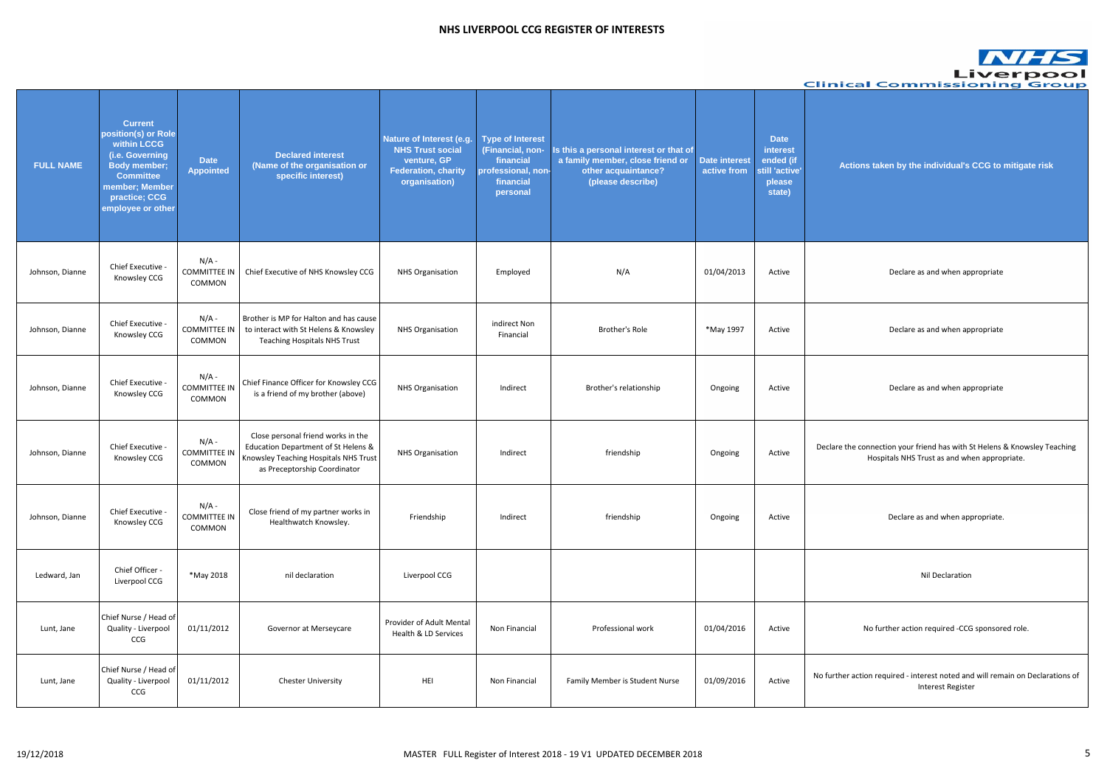# **Actions taken by the individual's CCG to mitigate risk**

are the connection your friend has with St Helens & Knowsley Teaching Hospitals NHS Trust as and when appropriate.

No further action required -CCG sponsored role.

| <b>Clinical Commissionir</b>                                                                   |                                                                            |                                     |                                                                                                                        |                                                                                                         |                                                                                                                   |                                                                                                                                                    |                                          |                                                                                                                                                                            |                  |
|------------------------------------------------------------------------------------------------|----------------------------------------------------------------------------|-------------------------------------|------------------------------------------------------------------------------------------------------------------------|---------------------------------------------------------------------------------------------------------|-------------------------------------------------------------------------------------------------------------------|----------------------------------------------------------------------------------------------------------------------------------------------------|------------------------------------------|----------------------------------------------------------------------------------------------------------------------------------------------------------------------------|------------------|
| Actions taken by the individual's CCG to                                                       | <b>Date</b><br>interest<br>ended (if<br>still 'active'<br>please<br>state) | <b>Date interest</b><br>active from | Is this a personal interest or that of<br>a family member, close friend or<br>other acquaintance?<br>(please describe) | <b>Type of Interest</b><br>(Financial, non-<br>financial<br>professional, non-<br>financial<br>personal | Nature of Interest (e.g.<br><b>NHS Trust social</b><br>venture, GP<br><b>Federation, charity</b><br>organisation) | <b>Declared interest</b><br>(Name of the organisation or<br>specific interest)                                                                     | <b>Date</b><br><b>Appointed</b>          | <b>Current</b><br>position(s) or Role<br>within LCCG<br>(i.e. Governing<br><b>Body member;</b><br><b>Committee</b><br>member; Member<br>practice; CCG<br>employee or other | <b>FULL NAME</b> |
| Declare as and when appropriate                                                                | Active                                                                     | 01/04/2013                          | N/A                                                                                                                    | Employed                                                                                                | <b>NHS Organisation</b>                                                                                           | Chief Executive of NHS Knowsley CCG                                                                                                                | $N/A$ -<br><b>COMMITTEE IN</b><br>COMMON | Chief Executive -<br>Knowsley CCG                                                                                                                                          | Johnson, Dianne  |
| Declare as and when appropriate                                                                | Active                                                                     | *May 1997                           | Brother's Role                                                                                                         | indirect Non<br>Financial                                                                               | <b>NHS Organisation</b>                                                                                           | Brother is MP for Halton and has cause<br>to interact with St Helens & Knowsley<br><b>Teaching Hospitals NHS Trust</b>                             | $N/A -$<br><b>COMMITTEE IN</b><br>COMMON | Chief Executive -<br>Knowsley CCG                                                                                                                                          | Johnson, Dianne  |
| Declare as and when appropriate                                                                | Active                                                                     | Ongoing                             | Brother's relationship                                                                                                 | Indirect                                                                                                | <b>NHS Organisation</b>                                                                                           | Chief Finance Officer for Knowsley CCG<br>is a friend of my brother (above)                                                                        | $N/A$ -<br><b>COMMITTEE IN</b><br>COMMON | Chief Executive -<br>Knowsley CCG                                                                                                                                          | Johnson, Dianne  |
| Declare the connection your friend has with St Helens<br>Hospitals NHS Trust as and when appro | Active                                                                     | Ongoing                             | friendship                                                                                                             | Indirect                                                                                                | <b>NHS Organisation</b>                                                                                           | Close personal friend works in the<br>Education Department of St Helens &<br>Knowsley Teaching Hospitals NHS Trust<br>as Preceptorship Coordinator | N/A -<br><b>COMMITTEE IN</b><br>COMMON   | Chief Executive -<br>Knowsley CCG                                                                                                                                          | Johnson, Dianne  |
| Declare as and when appropriate.                                                               | Active                                                                     | Ongoing                             | friendship                                                                                                             | Indirect                                                                                                | Friendship                                                                                                        | Close friend of my partner works in<br>Healthwatch Knowsley.                                                                                       | $N/A$ -<br><b>COMMITTEE IN</b><br>COMMON | Chief Executive<br>Knowsley CCG                                                                                                                                            | Johnson, Dianne  |
| Nil Declaration                                                                                |                                                                            |                                     |                                                                                                                        |                                                                                                         | Liverpool CCG                                                                                                     | nil declaration                                                                                                                                    | *May 2018                                | Chief Officer -<br>Liverpool CCG                                                                                                                                           | Ledward, Jan     |
| No further action required -CCG sponsor                                                        | Active                                                                     | 01/04/2016                          | Professional work                                                                                                      | Non Financial                                                                                           | Provider of Adult Mental<br>Health & LD Services                                                                  | Governor at Merseycare                                                                                                                             | 01/11/2012                               | Chief Nurse / Head of<br>Quality - Liverpool<br>CCG                                                                                                                        | Lunt, Jane       |
| No further action required - interest noted and will rem<br><b>Interest Register</b>           | Active                                                                     | 01/09/2016                          | Family Member is Student Nurse                                                                                         | Non Financial                                                                                           | HEI                                                                                                               | <b>Chester University</b>                                                                                                                          | 01/11/2012                               | Chief Nurse / Head of<br>Quality - Liverpool<br>CCG                                                                                                                        | Lunt, Jane       |

rther action required - interest noted and will remain on Declarations of Interest Register

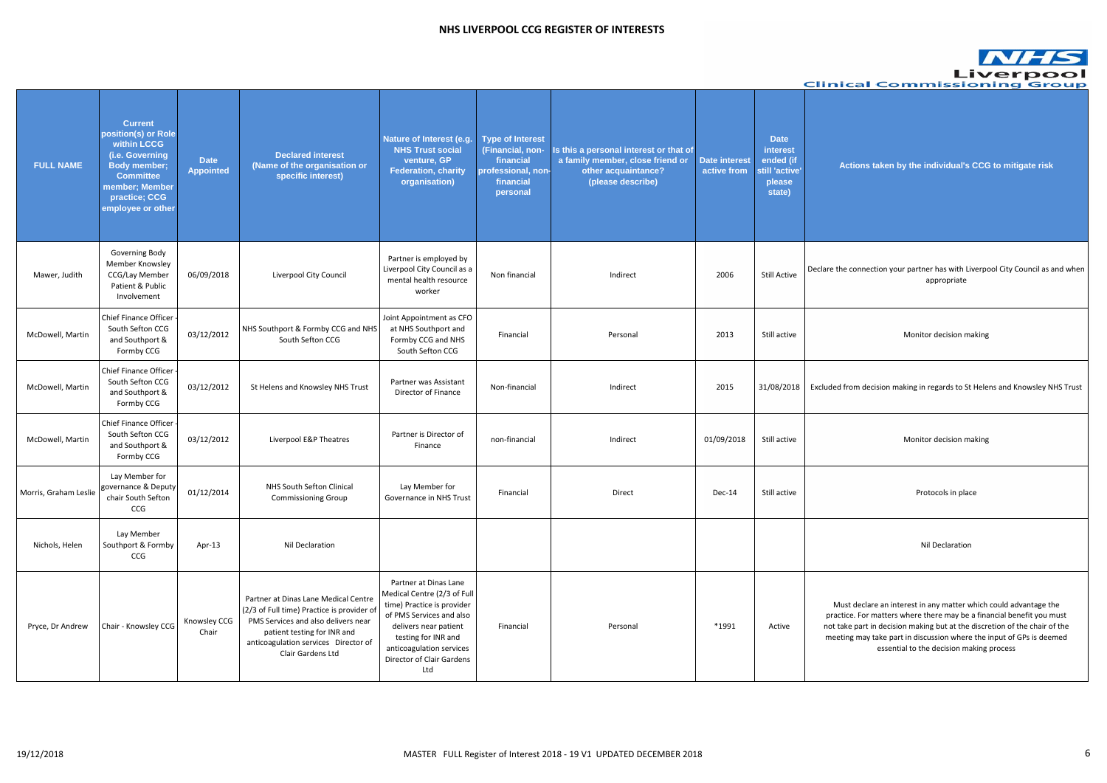#### the connection your partner has with Liverpool City Council as and when appropriate

ed from decision making in regards to St Helens and Knowsley NHS Trust

# **Actions taken by the individual's CCG to mitigate risk**

|                       |                                                                                                                                                                            |                                 |                                                                                                                                                                                                                       |                                                                                                                                                                                                                                |                                                                                                         |                                                                                                                       |                              |                                                                            | <b>Clinical Commission</b>                                                                                                                                                                                                                |
|-----------------------|----------------------------------------------------------------------------------------------------------------------------------------------------------------------------|---------------------------------|-----------------------------------------------------------------------------------------------------------------------------------------------------------------------------------------------------------------------|--------------------------------------------------------------------------------------------------------------------------------------------------------------------------------------------------------------------------------|---------------------------------------------------------------------------------------------------------|-----------------------------------------------------------------------------------------------------------------------|------------------------------|----------------------------------------------------------------------------|-------------------------------------------------------------------------------------------------------------------------------------------------------------------------------------------------------------------------------------------|
| <b>FULL NAME</b>      | <b>Current</b><br>position(s) or Role<br>within LCCG<br>(i.e. Governing<br><b>Body member;</b><br><b>Committee</b><br>member; Member<br>practice; CCG<br>employee or other | <b>Date</b><br><b>Appointed</b> | <b>Declared interest</b><br>(Name of the organisation or<br>specific interest)                                                                                                                                        | <b>Nature of Interest (e.g.</b><br><b>NHS Trust social</b><br>venture, GP<br><b>Federation, charity</b><br>organisation)                                                                                                       | <b>Type of Interest</b><br>(Financial, non-<br>financial<br>professional, non-<br>financial<br>personal | s this a personal interest or that of<br>a family member, close friend or<br>other acquaintance?<br>(please describe) | Date interest<br>active from | <b>Date</b><br>interest<br>ended (if<br>still 'active'<br>please<br>state) | Actions taken by the individual's CCO                                                                                                                                                                                                     |
| Mawer, Judith         | Governing Body<br>Member Knowsley<br>CCG/Lay Member<br>Patient & Public<br>Involvement                                                                                     | 06/09/2018                      | Liverpool City Council                                                                                                                                                                                                | Partner is employed by<br>Liverpool City Council as a<br>mental health resource<br>worker                                                                                                                                      | Non financial                                                                                           | Indirect                                                                                                              | 2006                         | <b>Still Active</b>                                                        | Declare the connection your partner has with Liverp<br>appropriate                                                                                                                                                                        |
| McDowell, Martin      | <b>Chief Finance Officer</b><br>South Sefton CCG<br>and Southport &<br>Formby CCG                                                                                          | 03/12/2012                      | NHS Southport & Formby CCG and NHS<br>South Sefton CCG                                                                                                                                                                | Joint Appointment as CFO<br>at NHS Southport and<br>Formby CCG and NHS<br>South Sefton CCG                                                                                                                                     | Financial                                                                                               | Personal                                                                                                              | 2013                         | Still active                                                               | Monitor decision making                                                                                                                                                                                                                   |
| McDowell, Martin      | Chief Finance Officer<br>South Sefton CCG<br>and Southport &<br>Formby CCG                                                                                                 | 03/12/2012                      | St Helens and Knowsley NHS Trust                                                                                                                                                                                      | Partner was Assistant<br>Director of Finance                                                                                                                                                                                   | Non-financial                                                                                           | Indirect                                                                                                              | 2015                         | 31/08/2018                                                                 | Excluded from decision making in regards to St Hele                                                                                                                                                                                       |
| McDowell, Martin      | <b>Chief Finance Officer</b><br>South Sefton CCG<br>and Southport &<br>Formby CCG                                                                                          | 03/12/2012                      | Liverpool E&P Theatres                                                                                                                                                                                                | Partner is Director of<br>Finance                                                                                                                                                                                              | non-financial                                                                                           | Indirect                                                                                                              | 01/09/2018                   | Still active                                                               | Monitor decision making                                                                                                                                                                                                                   |
| Morris, Graham Leslie | Lay Member for<br>governance & Deputy<br>chair South Sefton<br>CCG                                                                                                         | 01/12/2014                      | NHS South Sefton Clinical<br><b>Commissioning Group</b>                                                                                                                                                               | Lay Member for<br>Governance in NHS Trust                                                                                                                                                                                      | Financial                                                                                               | Direct                                                                                                                | Dec-14                       | Still active                                                               | Protocols in place                                                                                                                                                                                                                        |
| Nichols, Helen        | Lay Member<br>Southport & Formby<br>CCG                                                                                                                                    | Apr-13                          | Nil Declaration                                                                                                                                                                                                       |                                                                                                                                                                                                                                |                                                                                                         |                                                                                                                       |                              |                                                                            | Nil Declaration                                                                                                                                                                                                                           |
| Pryce, Dr Andrew      | Chair - Knowsley CCG                                                                                                                                                       | Knowsley CCG<br>Chair           | Partner at Dinas Lane Medical Centre<br>(2/3 of Full time) Practice is provider of<br>PMS Services and also delivers near<br>patient testing for INR and<br>anticoagulation services Director of<br>Clair Gardens Ltd | Partner at Dinas Lane<br>Medical Centre (2/3 of Full<br>time) Practice is provider<br>of PMS Services and also<br>delivers near patient<br>testing for INR and<br>anticoagulation services<br>Director of Clair Gardens<br>Ltd | Financial                                                                                               | Personal                                                                                                              | *1991                        | Active                                                                     | Must declare an interest in any matter which<br>practice. For matters where there may be a fina<br>not take part in decision making but at the discr<br>meeting may take part in discussion where the<br>essential to the decision making |

Must declare an interest in any matter which could advantage the actice. For matters where there may be a financial benefit you must t take part in decision making but at the discretion of the chair of the eeting may take part in discussion where the input of GPs is deemed essential to the decision making process

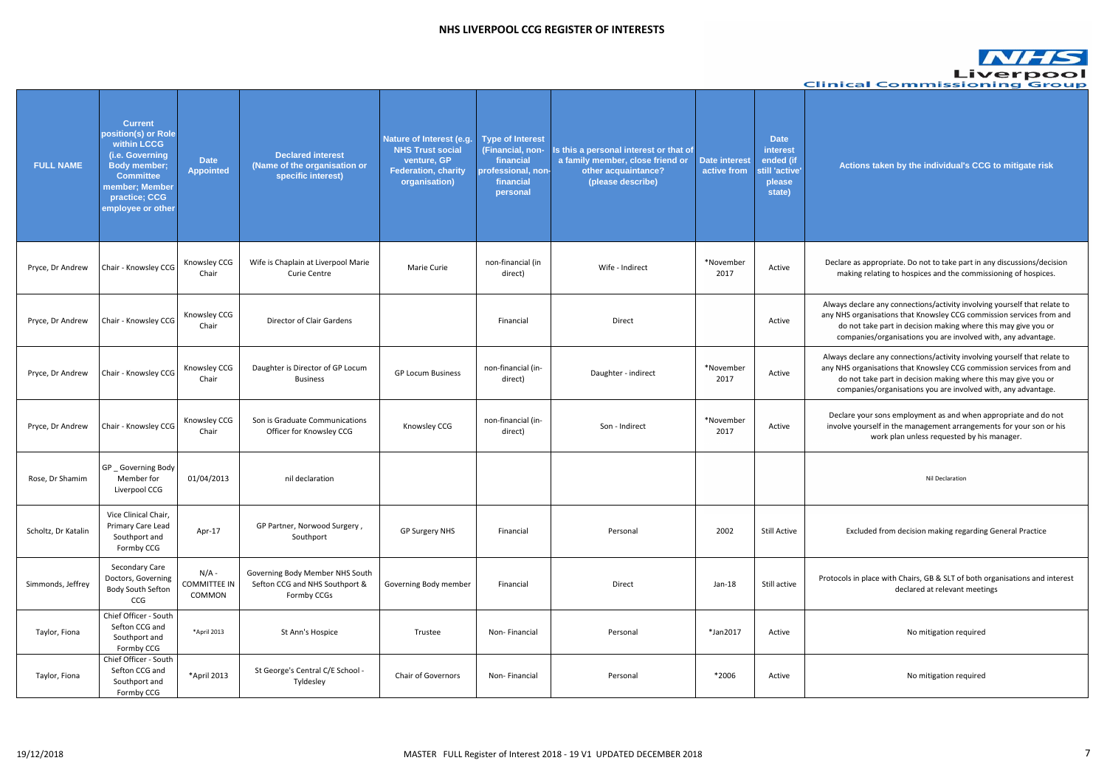clare as appropriate. Do not to take part in any discussions/decision making relating to hospices and the commissioning of hospices.

#### **Actions taken by the individual's CCG to mitigate risk**

ays declare any connections/activity involving yourself that relate to NHS organisations that Knowsley CCG commission services from and do not take part in decision making where this may give you or companies/organisations you are involved with, any advantage.

ays declare any connections/activity involving yourself that relate to NHS organisations that Knowsley CCG commission services from and do not take part in decision making where this may give you or companies/organisations you are involved with, any advantage.

eclare your sons employment as and when appropriate and do not volve yourself in the management arrangements for your son or his work plan unless requested by his manager.

#### Excluded from decision making regarding General Practice

ocols in place with Chairs, GB & SLT of both organisations and interest declared at relevant meetings

|                     |                                                                                                                                                                            |                                          |                                                                                  |                                                                                                                          |                                                                                                         |                                                                                                                        |                              |                                                                            | <b>Clinical Commissior</b>                                                                                                                                                               |
|---------------------|----------------------------------------------------------------------------------------------------------------------------------------------------------------------------|------------------------------------------|----------------------------------------------------------------------------------|--------------------------------------------------------------------------------------------------------------------------|---------------------------------------------------------------------------------------------------------|------------------------------------------------------------------------------------------------------------------------|------------------------------|----------------------------------------------------------------------------|------------------------------------------------------------------------------------------------------------------------------------------------------------------------------------------|
| <b>FULL NAME</b>    | <b>Current</b><br>position(s) or Role<br>within LCCG<br>(i.e. Governing<br><b>Body member;</b><br><b>Committee</b><br>member; Member<br>practice; CCG<br>employee or other | <b>Date</b><br><b>Appointed</b>          | <b>Declared interest</b><br>(Name of the organisation or<br>specific interest)   | <b>Nature of Interest (e.g.</b><br><b>NHS Trust social</b><br>venture, GP<br><b>Federation, charity</b><br>organisation) | <b>Type of Interest</b><br>(Financial, non-<br>financial<br>professional, non-<br>financial<br>personal | Is this a personal interest or that of<br>a family member, close friend or<br>other acquaintance?<br>(please describe) | Date interest<br>active from | <b>Date</b><br>interest<br>ended (if<br>still 'active'<br>please<br>state) | Actions taken by the individual's CC                                                                                                                                                     |
| Pryce, Dr Andrew    | Chair - Knowsley CCG                                                                                                                                                       | Knowsley CCG<br>Chair                    | Wife is Chaplain at Liverpool Marie<br><b>Curie Centre</b>                       | Marie Curie                                                                                                              | non-financial (in<br>direct)                                                                            | Wife - Indirect                                                                                                        | *November<br>2017            | Active                                                                     | Declare as appropriate. Do not to take part in a<br>making relating to hospices and the commi                                                                                            |
| Pryce, Dr Andrew    | Chair - Knowsley CCG                                                                                                                                                       | Knowsley CCG<br>Chair                    | Director of Clair Gardens                                                        |                                                                                                                          | Financial                                                                                               | Direct                                                                                                                 |                              | Active                                                                     | Always declare any connections/activity involvi<br>any NHS organisations that Knowsley CCG comr<br>do not take part in decision making where<br>companies/organisations you are involved |
| Pryce, Dr Andrew    | Chair - Knowsley CCG                                                                                                                                                       | Knowsley CCG<br>Chair                    | Daughter is Director of GP Locum<br><b>Business</b>                              | <b>GP Locum Business</b>                                                                                                 | non-financial (in-<br>direct)                                                                           | Daughter - indirect                                                                                                    | *November<br>2017            | Active                                                                     | Always declare any connections/activity involvi<br>any NHS organisations that Knowsley CCG comr<br>do not take part in decision making where<br>companies/organisations you are involved |
| Pryce, Dr Andrew    | Chair - Knowsley CCG                                                                                                                                                       | Knowsley CCG<br>Chair                    | Son is Graduate Communications<br>Officer for Knowsley CCG                       | Knowsley CCG                                                                                                             | non-financial (in-<br>direct)                                                                           | Son - Indirect                                                                                                         | *November<br>2017            | Active                                                                     | Declare your sons employment as and when a<br>involve yourself in the management arrangem<br>work plan unless requested by hi                                                            |
| Rose, Dr Shamim     | GP _ Governing Body<br>Member for<br>Liverpool CCG                                                                                                                         | 01/04/2013                               | nil declaration                                                                  |                                                                                                                          |                                                                                                         |                                                                                                                        |                              |                                                                            | Nil Declaration                                                                                                                                                                          |
| Scholtz, Dr Katalin | Vice Clinical Chair,<br>Primary Care Lead<br>Southport and<br>Formby CCG                                                                                                   | Apr-17                                   | GP Partner, Norwood Surgery,<br>Southport                                        | <b>GP Surgery NHS</b>                                                                                                    | Financial                                                                                               | Personal                                                                                                               | 2002                         | <b>Still Active</b>                                                        | Excluded from decision making regardin                                                                                                                                                   |
| Simmonds, Jeffrey   | Secondary Care<br>Doctors, Governing<br>Body South Sefton<br>CCG                                                                                                           | $N/A$ -<br><b>COMMITTEE IN</b><br>COMMON | Governing Body Member NHS South<br>Sefton CCG and NHS Southport &<br>Formby CCGs | Governing Body member                                                                                                    | Financial                                                                                               | Direct                                                                                                                 | $Jan-18$                     | Still active                                                               | Protocols in place with Chairs, GB & SLT of both<br>declared at relevant meet                                                                                                            |
| Taylor, Fiona       | Chief Officer - South<br>Sefton CCG and<br>Southport and<br>Formby CCG                                                                                                     | *April 2013                              | St Ann's Hospice                                                                 | Trustee                                                                                                                  | Non-Financial                                                                                           | Personal                                                                                                               | *Jan2017                     | Active                                                                     | No mitigation required                                                                                                                                                                   |
| Taylor, Fiona       | Chief Officer - South<br>Sefton CCG and<br>Southport and<br>Formby CCG                                                                                                     | *April 2013                              | St George's Central C/E School -<br>Tyldesley                                    | Chair of Governors                                                                                                       | Non-Financial                                                                                           | Personal                                                                                                               | *2006                        | Active                                                                     | No mitigation required                                                                                                                                                                   |